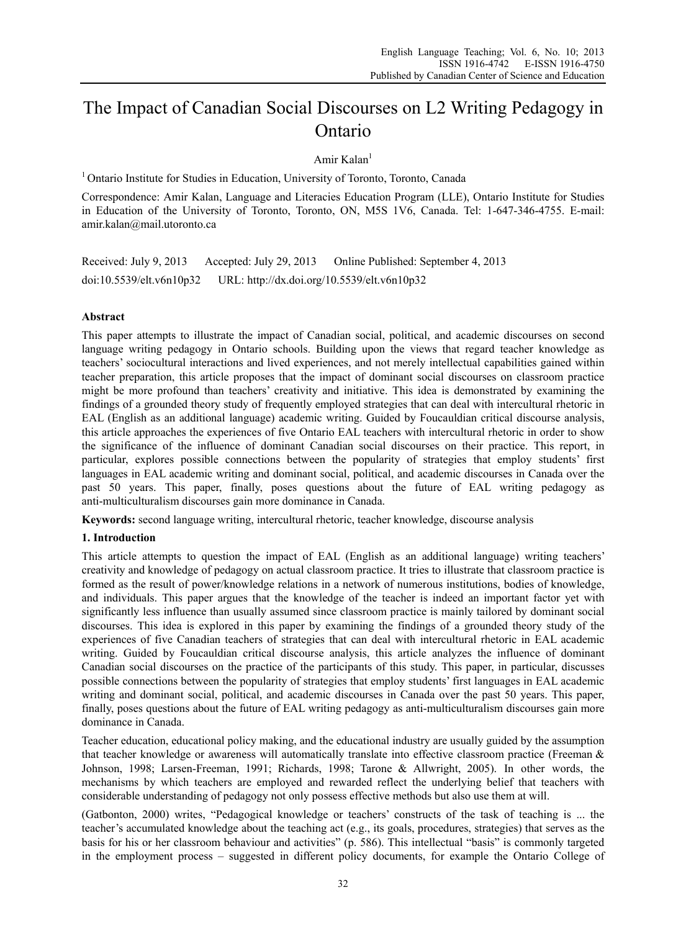# The Impact of Canadian Social Discourses on L2 Writing Pedagogy in Ontario

Amir Kalan $<sup>1</sup>$ </sup>

<sup>1</sup> Ontario Institute for Studies in Education, University of Toronto, Toronto, Canada

Correspondence: Amir Kalan, Language and Literacies Education Program (LLE), Ontario Institute for Studies in Education of the University of Toronto, Toronto, ON, M5S 1V6, Canada. Tel: 1-647-346-4755. E-mail: amir.kalan@mail.utoronto.ca

Received: July 9, 2013 Accepted: July 29, 2013 Online Published: September 4, 2013 doi:10.5539/elt.v6n10p32 URL: http://dx.doi.org/10.5539/elt.v6n10p32

# **Abstract**

This paper attempts to illustrate the impact of Canadian social, political, and academic discourses on second language writing pedagogy in Ontario schools. Building upon the views that regard teacher knowledge as teachers' sociocultural interactions and lived experiences, and not merely intellectual capabilities gained within teacher preparation, this article proposes that the impact of dominant social discourses on classroom practice might be more profound than teachers' creativity and initiative. This idea is demonstrated by examining the findings of a grounded theory study of frequently employed strategies that can deal with intercultural rhetoric in EAL (English as an additional language) academic writing. Guided by Foucauldian critical discourse analysis, this article approaches the experiences of five Ontario EAL teachers with intercultural rhetoric in order to show the significance of the influence of dominant Canadian social discourses on their practice. This report, in particular, explores possible connections between the popularity of strategies that employ students' first languages in EAL academic writing and dominant social, political, and academic discourses in Canada over the past 50 years. This paper, finally, poses questions about the future of EAL writing pedagogy as anti-multiculturalism discourses gain more dominance in Canada.

**Keywords:** second language writing, intercultural rhetoric, teacher knowledge, discourse analysis

## **1. Introduction**

This article attempts to question the impact of EAL (English as an additional language) writing teachers' creativity and knowledge of pedagogy on actual classroom practice. It tries to illustrate that classroom practice is formed as the result of power/knowledge relations in a network of numerous institutions, bodies of knowledge, and individuals. This paper argues that the knowledge of the teacher is indeed an important factor yet with significantly less influence than usually assumed since classroom practice is mainly tailored by dominant social discourses. This idea is explored in this paper by examining the findings of a grounded theory study of the experiences of five Canadian teachers of strategies that can deal with intercultural rhetoric in EAL academic writing. Guided by Foucauldian critical discourse analysis, this article analyzes the influence of dominant Canadian social discourses on the practice of the participants of this study. This paper, in particular, discusses possible connections between the popularity of strategies that employ students' first languages in EAL academic writing and dominant social, political, and academic discourses in Canada over the past 50 years. This paper, finally, poses questions about the future of EAL writing pedagogy as anti-multiculturalism discourses gain more dominance in Canada.

Teacher education, educational policy making, and the educational industry are usually guided by the assumption that teacher knowledge or awareness will automatically translate into effective classroom practice (Freeman & Johnson, 1998; Larsen-Freeman, 1991; Richards, 1998; Tarone & Allwright, 2005). In other words, the mechanisms by which teachers are employed and rewarded reflect the underlying belief that teachers with considerable understanding of pedagogy not only possess effective methods but also use them at will.

(Gatbonton, 2000) writes, "Pedagogical knowledge or teachers' constructs of the task of teaching is ... the teacher's accumulated knowledge about the teaching act (e.g., its goals, procedures, strategies) that serves as the basis for his or her classroom behaviour and activities" (p. 586). This intellectual "basis" is commonly targeted in the employment process – suggested in different policy documents, for example the Ontario College of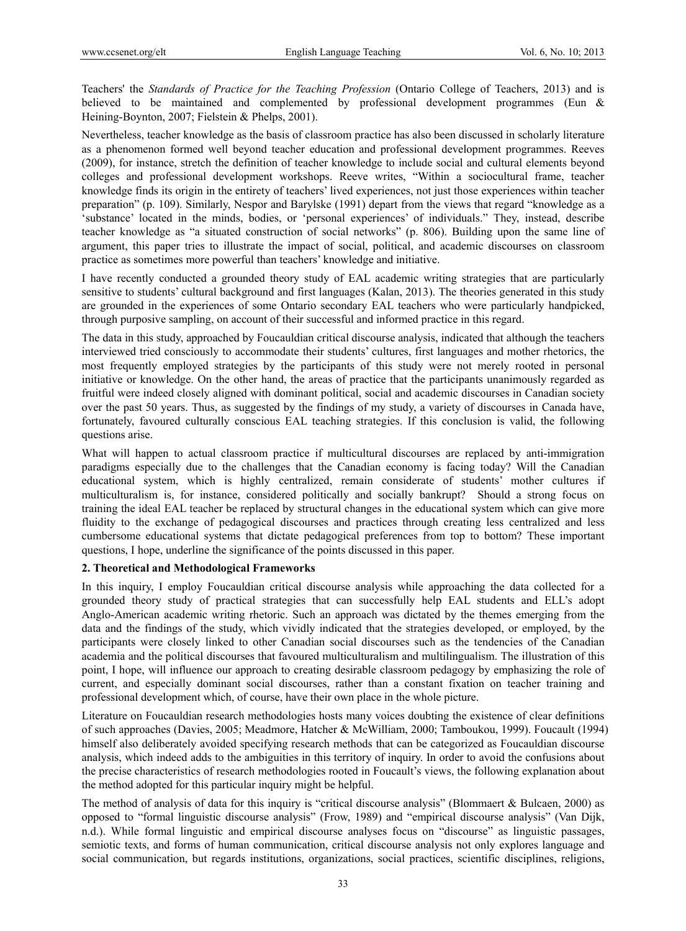Teachers' the *Standards of Practice for the Teaching Profession* (Ontario College of Teachers, 2013) and is believed to be maintained and complemented by professional development programmes (Eun & Heining-Boynton, 2007; Fielstein & Phelps, 2001).

Nevertheless, teacher knowledge as the basis of classroom practice has also been discussed in scholarly literature as a phenomenon formed well beyond teacher education and professional development programmes. Reeves (2009), for instance, stretch the definition of teacher knowledge to include social and cultural elements beyond colleges and professional development workshops. Reeve writes, "Within a sociocultural frame, teacher knowledge finds its origin in the entirety of teachers' lived experiences, not just those experiences within teacher preparation" (p. 109). Similarly, Nespor and Barylske (1991) depart from the views that regard "knowledge as a 'substance' located in the minds, bodies, or 'personal experiences' of individuals." They, instead, describe teacher knowledge as "a situated construction of social networks" (p. 806). Building upon the same line of argument, this paper tries to illustrate the impact of social, political, and academic discourses on classroom practice as sometimes more powerful than teachers' knowledge and initiative.

I have recently conducted a grounded theory study of EAL academic writing strategies that are particularly sensitive to students' cultural background and first languages (Kalan, 2013). The theories generated in this study are grounded in the experiences of some Ontario secondary EAL teachers who were particularly handpicked, through purposive sampling, on account of their successful and informed practice in this regard.

The data in this study, approached by Foucauldian critical discourse analysis, indicated that although the teachers interviewed tried consciously to accommodate their students' cultures, first languages and mother rhetorics, the most frequently employed strategies by the participants of this study were not merely rooted in personal initiative or knowledge. On the other hand, the areas of practice that the participants unanimously regarded as fruitful were indeed closely aligned with dominant political, social and academic discourses in Canadian society over the past 50 years. Thus, as suggested by the findings of my study, a variety of discourses in Canada have, fortunately, favoured culturally conscious EAL teaching strategies. If this conclusion is valid, the following questions arise.

What will happen to actual classroom practice if multicultural discourses are replaced by anti-immigration paradigms especially due to the challenges that the Canadian economy is facing today? Will the Canadian educational system, which is highly centralized, remain considerate of students' mother cultures if multiculturalism is, for instance, considered politically and socially bankrupt? Should a strong focus on training the ideal EAL teacher be replaced by structural changes in the educational system which can give more fluidity to the exchange of pedagogical discourses and practices through creating less centralized and less cumbersome educational systems that dictate pedagogical preferences from top to bottom? These important questions, I hope, underline the significance of the points discussed in this paper.

## **2. Theoretical and Methodological Frameworks**

In this inquiry, I employ Foucauldian critical discourse analysis while approaching the data collected for a grounded theory study of practical strategies that can successfully help EAL students and ELL's adopt Anglo-American academic writing rhetoric. Such an approach was dictated by the themes emerging from the data and the findings of the study, which vividly indicated that the strategies developed, or employed, by the participants were closely linked to other Canadian social discourses such as the tendencies of the Canadian academia and the political discourses that favoured multiculturalism and multilingualism. The illustration of this point, I hope, will influence our approach to creating desirable classroom pedagogy by emphasizing the role of current, and especially dominant social discourses, rather than a constant fixation on teacher training and professional development which, of course, have their own place in the whole picture.

Literature on Foucauldian research methodologies hosts many voices doubting the existence of clear definitions of such approaches (Davies, 2005; Meadmore, Hatcher & McWilliam, 2000; Tamboukou, 1999). Foucault (1994) himself also deliberately avoided specifying research methods that can be categorized as Foucauldian discourse analysis, which indeed adds to the ambiguities in this territory of inquiry. In order to avoid the confusions about the precise characteristics of research methodologies rooted in Foucault's views, the following explanation about the method adopted for this particular inquiry might be helpful.

The method of analysis of data for this inquiry is "critical discourse analysis" (Blommaert & Bulcaen, 2000) as opposed to "formal linguistic discourse analysis" (Frow, 1989) and "empirical discourse analysis" (Van Dijk, n.d.). While formal linguistic and empirical discourse analyses focus on "discourse" as linguistic passages, semiotic texts, and forms of human communication, critical discourse analysis not only explores language and social communication, but regards institutions, organizations, social practices, scientific disciplines, religions,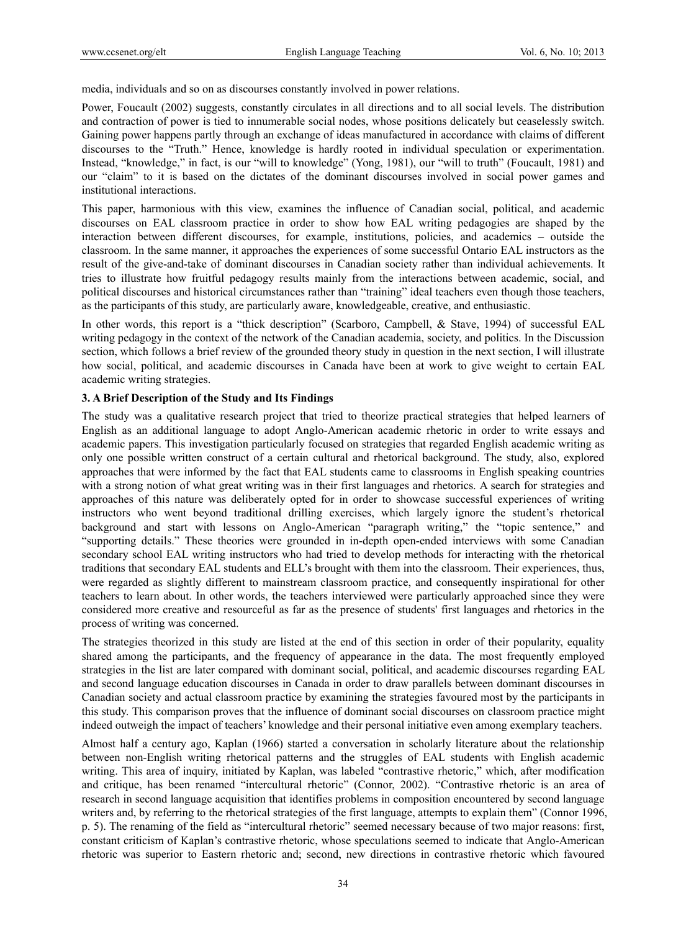media, individuals and so on as discourses constantly involved in power relations.

Power, Foucault (2002) suggests, constantly circulates in all directions and to all social levels. The distribution and contraction of power is tied to innumerable social nodes, whose positions delicately but ceaselessly switch. Gaining power happens partly through an exchange of ideas manufactured in accordance with claims of different discourses to the "Truth." Hence, knowledge is hardly rooted in individual speculation or experimentation. Instead, "knowledge," in fact, is our "will to knowledge" (Yong, 1981), our "will to truth" (Foucault, 1981) and our "claim" to it is based on the dictates of the dominant discourses involved in social power games and institutional interactions.

This paper, harmonious with this view, examines the influence of Canadian social, political, and academic discourses on EAL classroom practice in order to show how EAL writing pedagogies are shaped by the interaction between different discourses, for example, institutions, policies, and academics – outside the classroom. In the same manner, it approaches the experiences of some successful Ontario EAL instructors as the result of the give-and-take of dominant discourses in Canadian society rather than individual achievements. It tries to illustrate how fruitful pedagogy results mainly from the interactions between academic, social, and political discourses and historical circumstances rather than "training" ideal teachers even though those teachers, as the participants of this study, are particularly aware, knowledgeable, creative, and enthusiastic.

In other words, this report is a "thick description" (Scarboro, Campbell, & Stave, 1994) of successful EAL writing pedagogy in the context of the network of the Canadian academia, society, and politics. In the Discussion section, which follows a brief review of the grounded theory study in question in the next section, I will illustrate how social, political, and academic discourses in Canada have been at work to give weight to certain EAL academic writing strategies.

#### **3. A Brief Description of the Study and Its Findings**

The study was a qualitative research project that tried to theorize practical strategies that helped learners of English as an additional language to adopt Anglo-American academic rhetoric in order to write essays and academic papers. This investigation particularly focused on strategies that regarded English academic writing as only one possible written construct of a certain cultural and rhetorical background. The study, also, explored approaches that were informed by the fact that EAL students came to classrooms in English speaking countries with a strong notion of what great writing was in their first languages and rhetorics. A search for strategies and approaches of this nature was deliberately opted for in order to showcase successful experiences of writing instructors who went beyond traditional drilling exercises, which largely ignore the student's rhetorical background and start with lessons on Anglo-American "paragraph writing," the "topic sentence," and "supporting details." These theories were grounded in in-depth open-ended interviews with some Canadian secondary school EAL writing instructors who had tried to develop methods for interacting with the rhetorical traditions that secondary EAL students and ELL's brought with them into the classroom. Their experiences, thus, were regarded as slightly different to mainstream classroom practice, and consequently inspirational for other teachers to learn about. In other words, the teachers interviewed were particularly approached since they were considered more creative and resourceful as far as the presence of students' first languages and rhetorics in the process of writing was concerned.

The strategies theorized in this study are listed at the end of this section in order of their popularity, equality shared among the participants, and the frequency of appearance in the data. The most frequently employed strategies in the list are later compared with dominant social, political, and academic discourses regarding EAL and second language education discourses in Canada in order to draw parallels between dominant discourses in Canadian society and actual classroom practice by examining the strategies favoured most by the participants in this study. This comparison proves that the influence of dominant social discourses on classroom practice might indeed outweigh the impact of teachers' knowledge and their personal initiative even among exemplary teachers.

Almost half a century ago, Kaplan (1966) started a conversation in scholarly literature about the relationship between non-English writing rhetorical patterns and the struggles of EAL students with English academic writing. This area of inquiry, initiated by Kaplan, was labeled "contrastive rhetoric," which, after modification and critique, has been renamed "intercultural rhetoric" (Connor, 2002). "Contrastive rhetoric is an area of research in second language acquisition that identifies problems in composition encountered by second language writers and, by referring to the rhetorical strategies of the first language, attempts to explain them" (Connor 1996, p. 5). The renaming of the field as "intercultural rhetoric" seemed necessary because of two major reasons: first, constant criticism of Kaplan's contrastive rhetoric, whose speculations seemed to indicate that Anglo-American rhetoric was superior to Eastern rhetoric and; second, new directions in contrastive rhetoric which favoured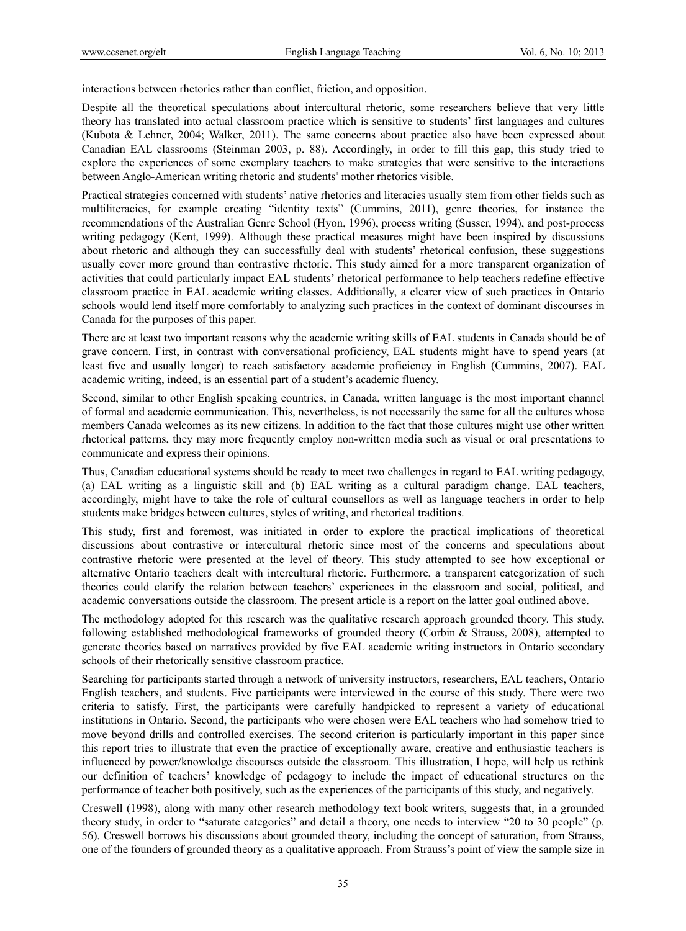interactions between rhetorics rather than conflict, friction, and opposition.

Despite all the theoretical speculations about intercultural rhetoric, some researchers believe that very little theory has translated into actual classroom practice which is sensitive to students' first languages and cultures (Kubota & Lehner, 2004; Walker, 2011). The same concerns about practice also have been expressed about Canadian EAL classrooms (Steinman 2003, p. 88). Accordingly, in order to fill this gap, this study tried to explore the experiences of some exemplary teachers to make strategies that were sensitive to the interactions between Anglo-American writing rhetoric and students' mother rhetorics visible.

Practical strategies concerned with students' native rhetorics and literacies usually stem from other fields such as multiliteracies, for example creating "identity texts" (Cummins, 2011), genre theories, for instance the recommendations of the Australian Genre School (Hyon, 1996), process writing (Susser, 1994), and post-process writing pedagogy (Kent, 1999). Although these practical measures might have been inspired by discussions about rhetoric and although they can successfully deal with students' rhetorical confusion, these suggestions usually cover more ground than contrastive rhetoric. This study aimed for a more transparent organization of activities that could particularly impact EAL students' rhetorical performance to help teachers redefine effective classroom practice in EAL academic writing classes. Additionally, a clearer view of such practices in Ontario schools would lend itself more comfortably to analyzing such practices in the context of dominant discourses in Canada for the purposes of this paper.

There are at least two important reasons why the academic writing skills of EAL students in Canada should be of grave concern. First, in contrast with conversational proficiency, EAL students might have to spend years (at least five and usually longer) to reach satisfactory academic proficiency in English (Cummins, 2007). EAL academic writing, indeed, is an essential part of a student's academic fluency.

Second, similar to other English speaking countries, in Canada, written language is the most important channel of formal and academic communication. This, nevertheless, is not necessarily the same for all the cultures whose members Canada welcomes as its new citizens. In addition to the fact that those cultures might use other written rhetorical patterns, they may more frequently employ non-written media such as visual or oral presentations to communicate and express their opinions.

Thus, Canadian educational systems should be ready to meet two challenges in regard to EAL writing pedagogy, (a) EAL writing as a linguistic skill and (b) EAL writing as a cultural paradigm change. EAL teachers, accordingly, might have to take the role of cultural counsellors as well as language teachers in order to help students make bridges between cultures, styles of writing, and rhetorical traditions.

This study, first and foremost, was initiated in order to explore the practical implications of theoretical discussions about contrastive or intercultural rhetoric since most of the concerns and speculations about contrastive rhetoric were presented at the level of theory. This study attempted to see how exceptional or alternative Ontario teachers dealt with intercultural rhetoric. Furthermore, a transparent categorization of such theories could clarify the relation between teachers' experiences in the classroom and social, political, and academic conversations outside the classroom. The present article is a report on the latter goal outlined above.

The methodology adopted for this research was the qualitative research approach grounded theory. This study, following established methodological frameworks of grounded theory (Corbin & Strauss, 2008), attempted to generate theories based on narratives provided by five EAL academic writing instructors in Ontario secondary schools of their rhetorically sensitive classroom practice.

Searching for participants started through a network of university instructors, researchers, EAL teachers, Ontario English teachers, and students. Five participants were interviewed in the course of this study. There were two criteria to satisfy. First, the participants were carefully handpicked to represent a variety of educational institutions in Ontario. Second, the participants who were chosen were EAL teachers who had somehow tried to move beyond drills and controlled exercises. The second criterion is particularly important in this paper since this report tries to illustrate that even the practice of exceptionally aware, creative and enthusiastic teachers is influenced by power/knowledge discourses outside the classroom. This illustration, I hope, will help us rethink our definition of teachers' knowledge of pedagogy to include the impact of educational structures on the performance of teacher both positively, such as the experiences of the participants of this study, and negatively.

Creswell (1998), along with many other research methodology text book writers, suggests that, in a grounded theory study, in order to "saturate categories" and detail a theory, one needs to interview "20 to 30 people" (p. 56). Creswell borrows his discussions about grounded theory, including the concept of saturation, from Strauss, one of the founders of grounded theory as a qualitative approach. From Strauss's point of view the sample size in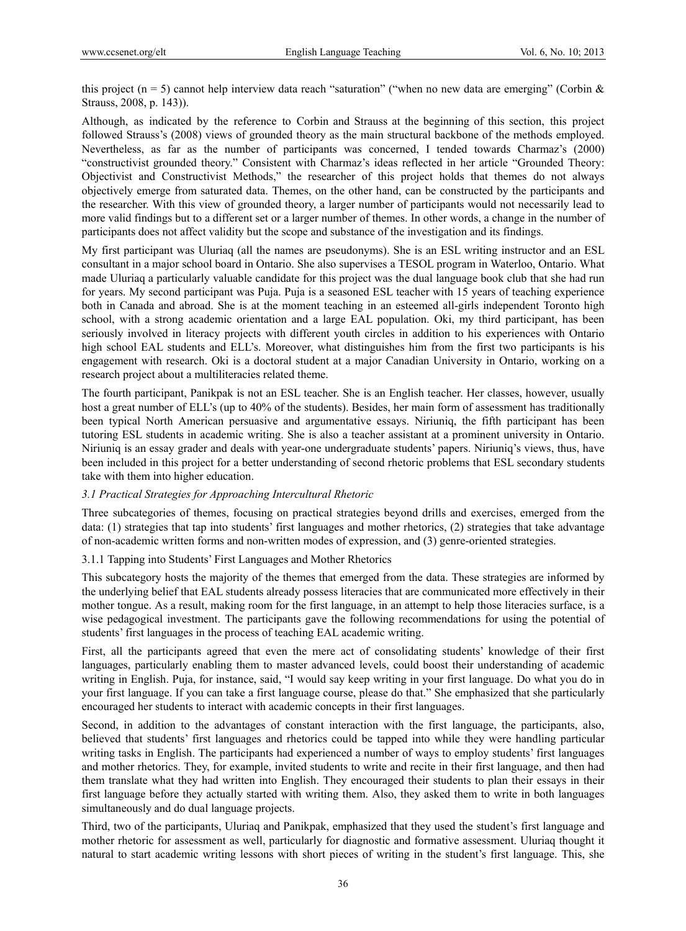this project (n = 5) cannot help interview data reach "saturation" ("when no new data are emerging" (Corbin  $\&$ Strauss, 2008, p. 143)).

Although, as indicated by the reference to Corbin and Strauss at the beginning of this section, this project followed Strauss's (2008) views of grounded theory as the main structural backbone of the methods employed. Nevertheless, as far as the number of participants was concerned, I tended towards Charmaz's (2000) "constructivist grounded theory." Consistent with Charmaz's ideas reflected in her article "Grounded Theory: Objectivist and Constructivist Methods," the researcher of this project holds that themes do not always objectively emerge from saturated data. Themes, on the other hand, can be constructed by the participants and the researcher. With this view of grounded theory, a larger number of participants would not necessarily lead to more valid findings but to a different set or a larger number of themes. In other words, a change in the number of participants does not affect validity but the scope and substance of the investigation and its findings.

My first participant was Uluriaq (all the names are pseudonyms). She is an ESL writing instructor and an ESL consultant in a major school board in Ontario. She also supervises a TESOL program in Waterloo, Ontario. What made Uluriaq a particularly valuable candidate for this project was the dual language book club that she had run for years. My second participant was Puja. Puja is a seasoned ESL teacher with 15 years of teaching experience both in Canada and abroad. She is at the moment teaching in an esteemed all-girls independent Toronto high school, with a strong academic orientation and a large EAL population. Oki, my third participant, has been seriously involved in literacy projects with different youth circles in addition to his experiences with Ontario high school EAL students and ELL's. Moreover, what distinguishes him from the first two participants is his engagement with research. Oki is a doctoral student at a major Canadian University in Ontario, working on a research project about a multiliteracies related theme.

The fourth participant, Panikpak is not an ESL teacher. She is an English teacher. Her classes, however, usually host a great number of ELL's (up to 40% of the students). Besides, her main form of assessment has traditionally been typical North American persuasive and argumentative essays. Niriuniq, the fifth participant has been tutoring ESL students in academic writing. She is also a teacher assistant at a prominent university in Ontario. Niriuniq is an essay grader and deals with year-one undergraduate students' papers. Niriuniq's views, thus, have been included in this project for a better understanding of second rhetoric problems that ESL secondary students take with them into higher education.

## *3.1 Practical Strategies for Approaching Intercultural Rhetoric*

Three subcategories of themes, focusing on practical strategies beyond drills and exercises, emerged from the data: (1) strategies that tap into students' first languages and mother rhetorics, (2) strategies that take advantage of non-academic written forms and non-written modes of expression, and (3) genre-oriented strategies.

## 3.1.1 Tapping into Students' First Languages and Mother Rhetorics

This subcategory hosts the majority of the themes that emerged from the data. These strategies are informed by the underlying belief that EAL students already possess literacies that are communicated more effectively in their mother tongue. As a result, making room for the first language, in an attempt to help those literacies surface, is a wise pedagogical investment. The participants gave the following recommendations for using the potential of students' first languages in the process of teaching EAL academic writing.

First, all the participants agreed that even the mere act of consolidating students' knowledge of their first languages, particularly enabling them to master advanced levels, could boost their understanding of academic writing in English. Puja, for instance, said, "I would say keep writing in your first language. Do what you do in your first language. If you can take a first language course, please do that." She emphasized that she particularly encouraged her students to interact with academic concepts in their first languages.

Second, in addition to the advantages of constant interaction with the first language, the participants, also, believed that students' first languages and rhetorics could be tapped into while they were handling particular writing tasks in English. The participants had experienced a number of ways to employ students' first languages and mother rhetorics. They, for example, invited students to write and recite in their first language, and then had them translate what they had written into English. They encouraged their students to plan their essays in their first language before they actually started with writing them. Also, they asked them to write in both languages simultaneously and do dual language projects.

Third, two of the participants, Uluriaq and Panikpak, emphasized that they used the student's first language and mother rhetoric for assessment as well, particularly for diagnostic and formative assessment. Uluriaq thought it natural to start academic writing lessons with short pieces of writing in the student's first language. This, she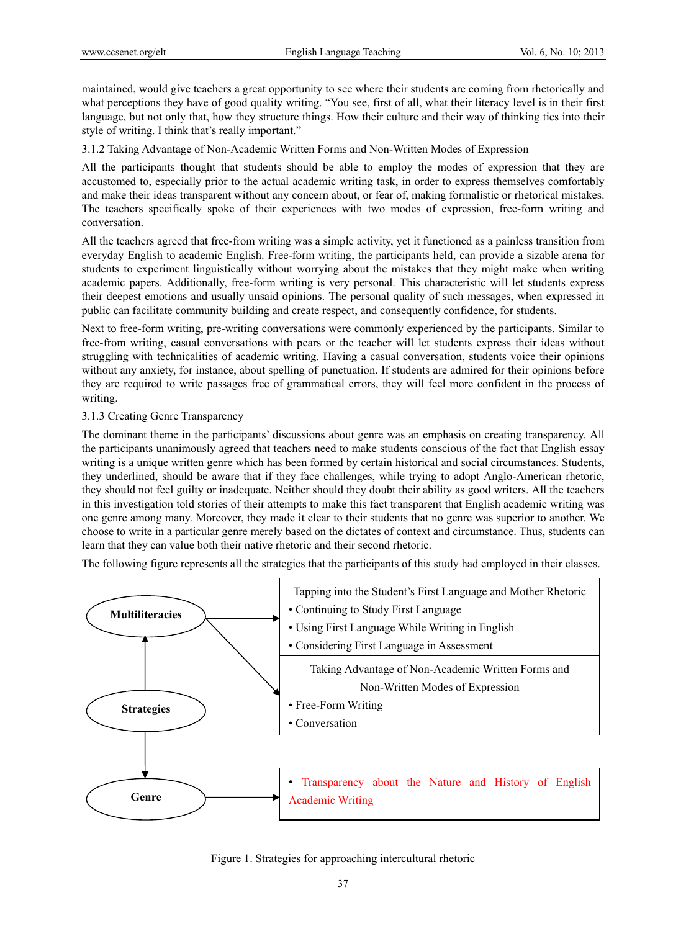maintained, would give teachers a great opportunity to see where their students are coming from rhetorically and what perceptions they have of good quality writing. "You see, first of all, what their literacy level is in their first language, but not only that, how they structure things. How their culture and their way of thinking ties into their style of writing. I think that's really important."

3.1.2 Taking Advantage of Non-Academic Written Forms and Non-Written Modes of Expression

All the participants thought that students should be able to employ the modes of expression that they are accustomed to, especially prior to the actual academic writing task, in order to express themselves comfortably and make their ideas transparent without any concern about, or fear of, making formalistic or rhetorical mistakes. The teachers specifically spoke of their experiences with two modes of expression, free-form writing and conversation.

All the teachers agreed that free-from writing was a simple activity, yet it functioned as a painless transition from everyday English to academic English. Free-form writing, the participants held, can provide a sizable arena for students to experiment linguistically without worrying about the mistakes that they might make when writing academic papers. Additionally, free-form writing is very personal. This characteristic will let students express their deepest emotions and usually unsaid opinions. The personal quality of such messages, when expressed in public can facilitate community building and create respect, and consequently confidence, for students.

Next to free-form writing, pre-writing conversations were commonly experienced by the participants. Similar to free-from writing, casual conversations with pears or the teacher will let students express their ideas without struggling with technicalities of academic writing. Having a casual conversation, students voice their opinions without any anxiety, for instance, about spelling of punctuation. If students are admired for their opinions before they are required to write passages free of grammatical errors, they will feel more confident in the process of writing.

## 3.1.3 Creating Genre Transparency

The dominant theme in the participants' discussions about genre was an emphasis on creating transparency. All the participants unanimously agreed that teachers need to make students conscious of the fact that English essay writing is a unique written genre which has been formed by certain historical and social circumstances. Students, they underlined, should be aware that if they face challenges, while trying to adopt Anglo-American rhetoric, they should not feel guilty or inadequate. Neither should they doubt their ability as good writers. All the teachers in this investigation told stories of their attempts to make this fact transparent that English academic writing was one genre among many. Moreover, they made it clear to their students that no genre was superior to another. We choose to write in a particular genre merely based on the dictates of context and circumstance. Thus, students can learn that they can value both their native rhetoric and their second rhetoric.

The following figure represents all the strategies that the participants of this study had employed in their classes.



## Figure 1. Strategies for approaching intercultural rhetoric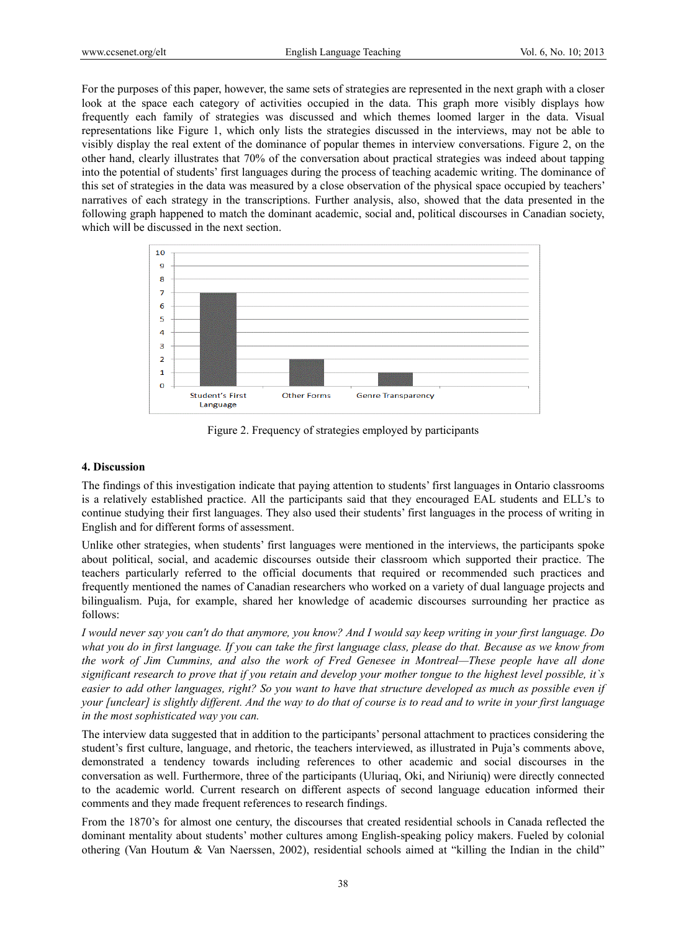For the purposes of this paper, however, the same sets of strategies are represented in the next graph with a closer look at the space each category of activities occupied in the data. This graph more visibly displays how frequently each family of strategies was discussed and which themes loomed larger in the data. Visual representations like Figure 1, which only lists the strategies discussed in the interviews, may not be able to visibly display the real extent of the dominance of popular themes in interview conversations. Figure 2, on the other hand, clearly illustrates that 70% of the conversation about practical strategies was indeed about tapping into the potential of students' first languages during the process of teaching academic writing. The dominance of this set of strategies in the data was measured by a close observation of the physical space occupied by teachers' narratives of each strategy in the transcriptions. Further analysis, also, showed that the data presented in the following graph happened to match the dominant academic, social and, political discourses in Canadian society, which will be discussed in the next section.



Figure 2. Frequency of strategies employed by participants

#### **4. Discuss sion**

The findings of this investigation indicate that paying attention to students' first languages in Ontario classrooms is a relatively established practice. All the participants said that they encouraged EAL students and ELL's to continue studying their first languages. They also used their students' first languages in the process of writing in English and for different forms of assessment.

Unlike other strategies, when students' first languages were mentioned in the interviews, the participants spoke about political, social, and academic discourses outside their classroom which supported their practice. The teachers particularly referred to the official documents that required or recommended such practices and frequently mentioned the names of Canadian researchers who worked on a variety of dual language projects and bilingualism. Puja, for example, shared her knowledge of academic discourses surrounding her practice as follows:

I would never say you can't do that anymore, you know? And I would say keep writing in your first language. Do what you do in first language. If you can take the first language class, please do that. Because as we know from *the work of Jim Cummins, and also the work of Fred Genesee in Montreal—These people have all done significant research to prove that if you retain and develop your mother tongue to the highest level possible, it`s easier to add other languages, right? So you want to have that structure developed as much as possible even if your [unclear] is slightly different. And the way to do that of course is to read and to write in your first language* in the most sophisticated way you can.

The interview data suggested that in addition to the participants' personal attachment to practices considering the student's first culture, language, and rhetoric, the teachers interviewed, as illustrated in Puja's comments above, demonstrated a tendency towards including references to other academic and social discourses in the conversation as well. Furthermore, three of the participants (Uluriaq, Oki, and Niriuniq) were directly connected to the academic world. Current research on different aspects of second language education informed their comments and they made frequent references to research findings.

From the 1870's for almost one century, the discourses that created residential schools in Canada reflected the dominant mentality about students' mother cultures among English-speaking policy makers. Fueled by colonial othering (Van Houtum & Van Naerssen, 2002), residential schools aimed at "killing the Indian in the child"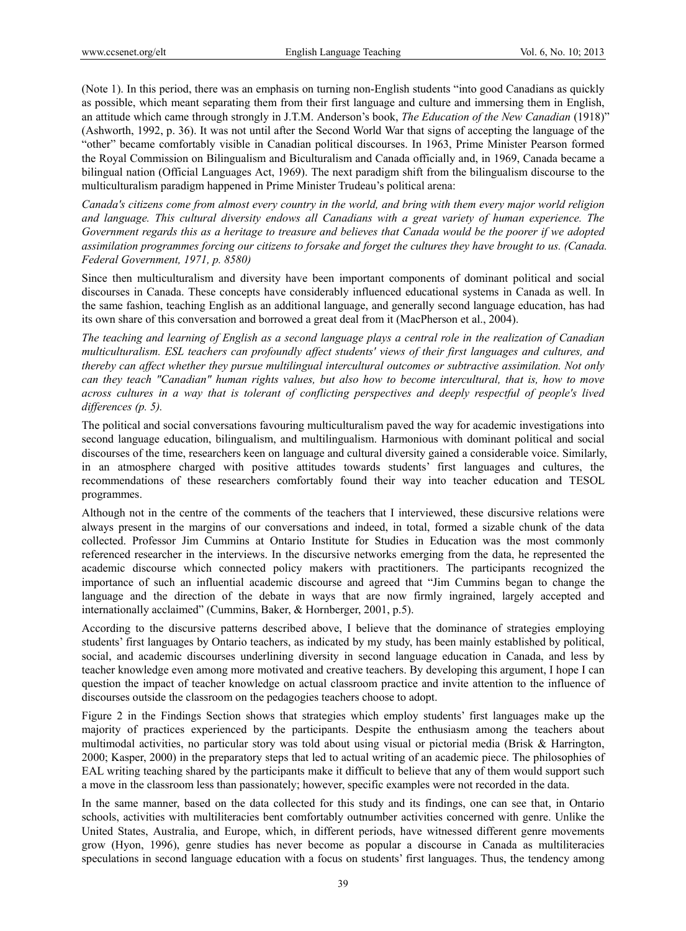(Note 1). In this period, there was an emphasis on turning non-English students "into good Canadians as quickly as possible, which meant separating them from their first language and culture and immersing them in English, an attitude which came through strongly in J.T.M. Anderson's book, *The Education of the New Canadian* (1918)" (Ashworth, 1992, p. 36). It was not until after the Second World War that signs of accepting the language of the "other" became comfortably visible in Canadian political discourses. In 1963, Prime Minister Pearson formed the Royal Commission on Bilingualism and Biculturalism and Canada officially and, in 1969, Canada became a bilingual nation (Official Languages Act, 1969). The next paradigm shift from the bilingualism discourse to the multiculturalism paradigm happened in Prime Minister Trudeau's political arena:

*Canada's citizens come from almost every country in the world, and bring with them every major world religion and language. This cultural diversity endows all Canadians with a great variety of human experience. The Government regards this as a heritage to treasure and believes that Canada would be the poorer if we adopted assimilation programmes forcing our citizens to forsake and forget the cultures they have brought to us. (Canada. Federal Government, 1971, p. 8580)* 

Since then multiculturalism and diversity have been important components of dominant political and social discourses in Canada. These concepts have considerably influenced educational systems in Canada as well. In the same fashion, teaching English as an additional language, and generally second language education, has had its own share of this conversation and borrowed a great deal from it (MacPherson et al., 2004).

*The teaching and learning of English as a second language plays a central role in the realization of Canadian multiculturalism. ESL teachers can profoundly affect students' views of their first languages and cultures, and thereby can affect whether they pursue multilingual intercultural outcomes or subtractive assimilation. Not only can they teach "Canadian" human rights values, but also how to become intercultural, that is, how to move across cultures in a way that is tolerant of conflicting perspectives and deeply respectful of people's lived differences (p. 5).* 

The political and social conversations favouring multiculturalism paved the way for academic investigations into second language education, bilingualism, and multilingualism. Harmonious with dominant political and social discourses of the time, researchers keen on language and cultural diversity gained a considerable voice. Similarly, in an atmosphere charged with positive attitudes towards students' first languages and cultures, the recommendations of these researchers comfortably found their way into teacher education and TESOL programmes.

Although not in the centre of the comments of the teachers that I interviewed, these discursive relations were always present in the margins of our conversations and indeed, in total, formed a sizable chunk of the data collected. Professor Jim Cummins at Ontario Institute for Studies in Education was the most commonly referenced researcher in the interviews. In the discursive networks emerging from the data, he represented the academic discourse which connected policy makers with practitioners. The participants recognized the importance of such an influential academic discourse and agreed that "Jim Cummins began to change the language and the direction of the debate in ways that are now firmly ingrained, largely accepted and internationally acclaimed" (Cummins, Baker, & Hornberger, 2001, p.5).

According to the discursive patterns described above, I believe that the dominance of strategies employing students' first languages by Ontario teachers, as indicated by my study, has been mainly established by political, social, and academic discourses underlining diversity in second language education in Canada, and less by teacher knowledge even among more motivated and creative teachers. By developing this argument, I hope I can question the impact of teacher knowledge on actual classroom practice and invite attention to the influence of discourses outside the classroom on the pedagogies teachers choose to adopt.

Figure 2 in the Findings Section shows that strategies which employ students' first languages make up the majority of practices experienced by the participants. Despite the enthusiasm among the teachers about multimodal activities, no particular story was told about using visual or pictorial media (Brisk & Harrington, 2000; Kasper, 2000) in the preparatory steps that led to actual writing of an academic piece. The philosophies of EAL writing teaching shared by the participants make it difficult to believe that any of them would support such a move in the classroom less than passionately; however, specific examples were not recorded in the data.

In the same manner, based on the data collected for this study and its findings, one can see that, in Ontario schools, activities with multiliteracies bent comfortably outnumber activities concerned with genre. Unlike the United States, Australia, and Europe, which, in different periods, have witnessed different genre movements grow (Hyon, 1996), genre studies has never become as popular a discourse in Canada as multiliteracies speculations in second language education with a focus on students' first languages. Thus, the tendency among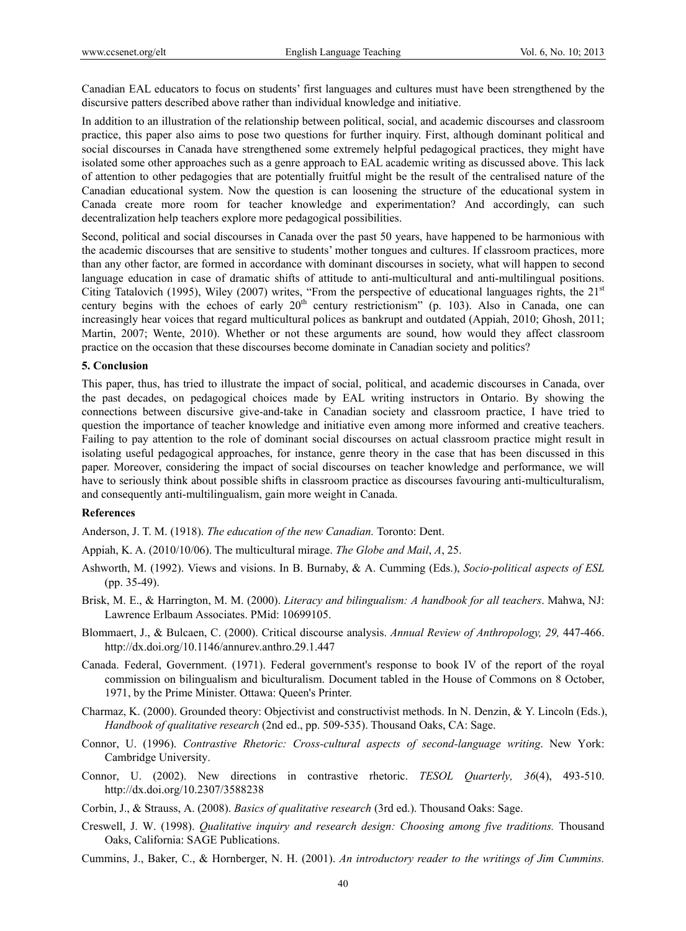Canadian EAL educators to focus on students' first languages and cultures must have been strengthened by the discursive patters described above rather than individual knowledge and initiative.

In addition to an illustration of the relationship between political, social, and academic discourses and classroom practice, this paper also aims to pose two questions for further inquiry. First, although dominant political and social discourses in Canada have strengthened some extremely helpful pedagogical practices, they might have isolated some other approaches such as a genre approach to EAL academic writing as discussed above. This lack of attention to other pedagogies that are potentially fruitful might be the result of the centralised nature of the Canadian educational system. Now the question is can loosening the structure of the educational system in Canada create more room for teacher knowledge and experimentation? And accordingly, can such decentralization help teachers explore more pedagogical possibilities.

Second, political and social discourses in Canada over the past 50 years, have happened to be harmonious with the academic discourses that are sensitive to students' mother tongues and cultures. If classroom practices, more than any other factor, are formed in accordance with dominant discourses in society, what will happen to second language education in case of dramatic shifts of attitude to anti-multicultural and anti-multilingual positions. Citing Tatalovich (1995), Wiley (2007) writes, "From the perspective of educational languages rights, the 21<sup>st</sup> century begins with the echoes of early  $20<sup>th</sup>$  century restrictionism" (p. 103). Also in Canada, one can increasingly hear voices that regard multicultural polices as bankrupt and outdated (Appiah, 2010; Ghosh, 2011; Martin, 2007; Wente, 2010). Whether or not these arguments are sound, how would they affect classroom practice on the occasion that these discourses become dominate in Canadian society and politics?

#### **5. Conclusion**

This paper, thus, has tried to illustrate the impact of social, political, and academic discourses in Canada, over the past decades, on pedagogical choices made by EAL writing instructors in Ontario. By showing the connections between discursive give-and-take in Canadian society and classroom practice, I have tried to question the importance of teacher knowledge and initiative even among more informed and creative teachers. Failing to pay attention to the role of dominant social discourses on actual classroom practice might result in isolating useful pedagogical approaches, for instance, genre theory in the case that has been discussed in this paper. Moreover, considering the impact of social discourses on teacher knowledge and performance, we will have to seriously think about possible shifts in classroom practice as discourses favouring anti-multiculturalism, and consequently anti-multilingualism, gain more weight in Canada.

#### **References**

Anderson, J. T. M. (1918). *The education of the new Canadian.* Toronto: Dent.

Appiah, K. A. (2010/10/06). The multicultural mirage. *The Globe and Mail*, *A*, 25.

- Ashworth, M. (1992). Views and visions. In B. Burnaby, & A. Cumming (Eds.), *Socio-political aspects of ESL* (pp. 35-49).
- Brisk, M. E., & Harrington, M. M. (2000). *Literacy and bilingualism: A handbook for all teachers*. Mahwa, NJ: Lawrence Erlbaum Associates. PMid: 10699105.
- Blommaert, J., & Bulcaen, C. (2000). Critical discourse analysis. *Annual Review of Anthropology, 29,* 447-466. http://dx.doi.org/10.1146/annurev.anthro.29.1.447
- Canada. Federal, Government. (1971). Federal government's response to book IV of the report of the royal commission on bilingualism and biculturalism. Document tabled in the House of Commons on 8 October, 1971, by the Prime Minister. Ottawa: Queen's Printer.
- Charmaz, K. (2000). Grounded theory: Objectivist and constructivist methods. In N. Denzin, & Y. Lincoln (Eds.), *Handbook of qualitative research* (2nd ed., pp. 509-535). Thousand Oaks, CA: Sage.
- Connor, U. (1996). *Contrastive Rhetoric: Cross-cultural aspects of second-language writing*. New York: Cambridge University.
- Connor, U. (2002). New directions in contrastive rhetoric. *TESOL Quarterly, 36*(4), 493-510. http://dx.doi.org/10.2307/3588238
- Corbin, J., & Strauss, A. (2008). *Basics of qualitative research* (3rd ed.). Thousand Oaks: Sage.
- Creswell, J. W. (1998). *Qualitative inquiry and research design: Choosing among five traditions.* Thousand Oaks, California: SAGE Publications.
- Cummins, J., Baker, C., & Hornberger, N. H. (2001). *An introductory reader to the writings of Jim Cummins.*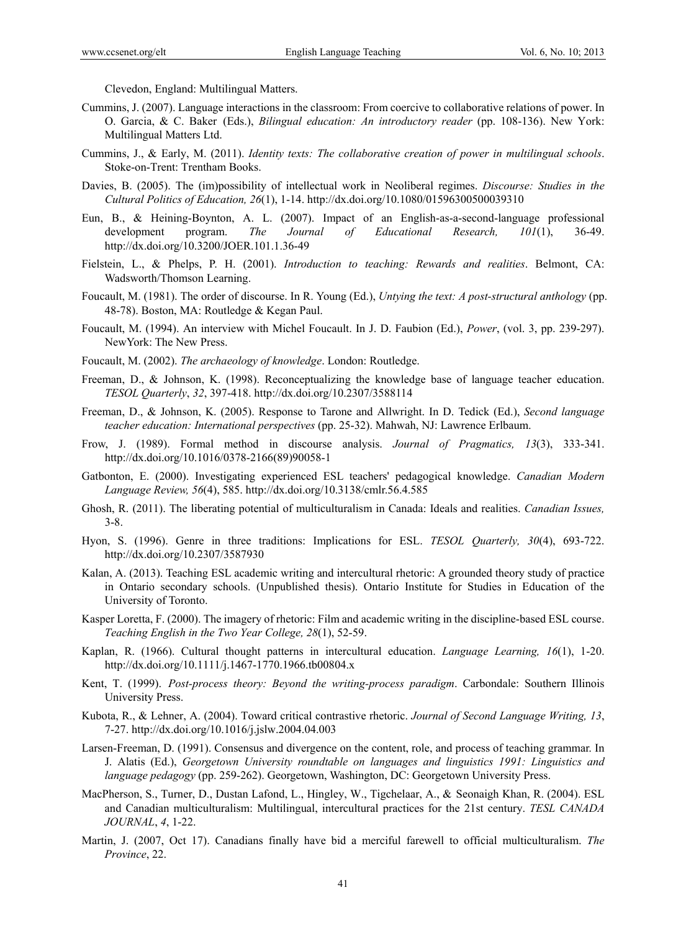Clevedon, England: Multilingual Matters.

- Cummins, J. (2007). Language interactions in the classroom: From coercive to collaborative relations of power. In O. Garcia, & C. Baker (Eds.), *Bilingual education: An introductory reader* (pp. 108-136). New York: Multilingual Matters Ltd.
- Cummins, J., & Early, M. (2011). *Identity texts: The collaborative creation of power in multilingual schools*. Stoke-on-Trent: Trentham Books.
- Davies, B. (2005). The (im)possibility of intellectual work in Neoliberal regimes. *Discourse: Studies in the Cultural Politics of Education, 26*(1), 1-14. http://dx.doi.org/10.1080/01596300500039310
- Eun, B., & Heining-Boynton, A. L. (2007). Impact of an English-as-a-second-language professional development program. *The Journal of Educational Research, 101*(1), 36-49. http://dx.doi.org/10.3200/JOER.101.1.36-49
- Fielstein, L., & Phelps, P. H. (2001). *Introduction to teaching: Rewards and realities*. Belmont, CA: Wadsworth/Thomson Learning.
- Foucault, M. (1981). The order of discourse. In R. Young (Ed.), *Untying the text: A post-structural anthology* (pp. 48-78). Boston, MA: Routledge & Kegan Paul.
- Foucault, M. (1994). An interview with Michel Foucault. In J. D. Faubion (Ed.), *Power*, (vol. 3, pp. 239-297). NewYork: The New Press.
- Foucault, M. (2002). *The archaeology of knowledge*. London: Routledge.
- Freeman, D., & Johnson, K. (1998). Reconceptualizing the knowledge base of language teacher education. *TESOL Quarterly*, *32*, 397-418. http://dx.doi.org/10.2307/3588114
- Freeman, D., & Johnson, K. (2005). Response to Tarone and Allwright. In D. Tedick (Ed.), *Second language teacher education: International perspectives* (pp. 25-32). Mahwah, NJ: Lawrence Erlbaum.
- Frow, J. (1989). Formal method in discourse analysis. *Journal of Pragmatics, 13*(3), 333-341. http://dx.doi.org/10.1016/0378-2166(89)90058-1
- Gatbonton, E. (2000). Investigating experienced ESL teachers' pedagogical knowledge. *Canadian Modern Language Review, 56*(4), 585. http://dx.doi.org/10.3138/cmlr.56.4.585
- Ghosh, R. (2011). The liberating potential of multiculturalism in Canada: Ideals and realities. *Canadian Issues,* 3-8.
- Hyon, S. (1996). Genre in three traditions: Implications for ESL. *TESOL Quarterly, 30*(4), 693-722. http://dx.doi.org/10.2307/3587930
- Kalan, A. (2013). Teaching ESL academic writing and intercultural rhetoric: A grounded theory study of practice in Ontario secondary schools. (Unpublished thesis). Ontario Institute for Studies in Education of the University of Toronto.
- Kasper Loretta, F. (2000). The imagery of rhetoric: Film and academic writing in the discipline-based ESL course. *Teaching English in the Two Year College, 28*(1), 52-59.
- Kaplan, R. (1966). Cultural thought patterns in intercultural education. *Language Learning, 16*(1), 1-20. http://dx.doi.org/10.1111/j.1467-1770.1966.tb00804.x
- Kent, T. (1999). *Post-process theory: Beyond the writing-process paradigm*. Carbondale: Southern Illinois University Press.
- Kubota, R., & Lehner, A. (2004). Toward critical contrastive rhetoric. *Journal of Second Language Writing, 13*, 7-27. http://dx.doi.org/10.1016/j.jslw.2004.04.003
- Larsen-Freeman, D. (1991). Consensus and divergence on the content, role, and process of teaching grammar. In J. Alatis (Ed.), *Georgetown University roundtable on languages and linguistics 1991: Linguistics and language pedagogy* (pp. 259-262). Georgetown, Washington, DC: Georgetown University Press.
- MacPherson, S., Turner, D., Dustan Lafond, L., Hingley, W., Tigchelaar, A., & Seonaigh Khan, R. (2004). ESL and Canadian multiculturalism: Multilingual, intercultural practices for the 21st century. *TESL CANADA JOURNAL*, *4*, 1-22.
- Martin, J. (2007, Oct 17). Canadians finally have bid a merciful farewell to official multiculturalism. *The Province*, 22.